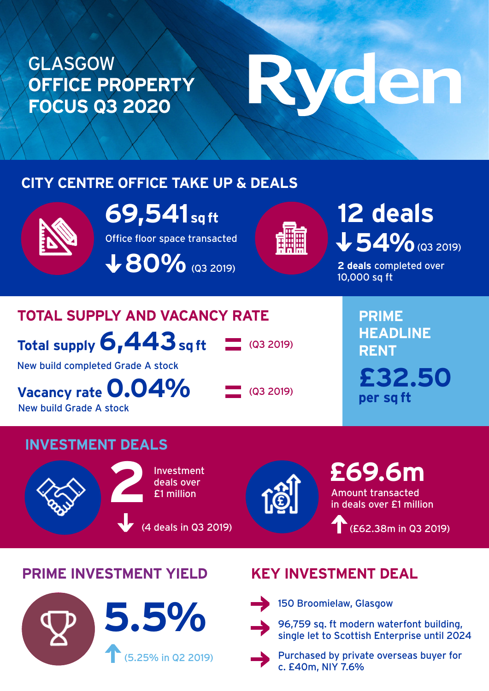### GLASGOW **OFFICE PROPERTY FOCUS Q3 2020**

# Ryden

#### **CITY CENTRE OFFICE TAKE UP & DEALS**



**69,541 sq ft**

Office floor space transacted **V 80%** (Q3 2019)

## 54% (Q3 2019) **12 deals**

**2 deals** completed over 10,000 sq ft

#### **TOTAL SUPPLY AND VACANCY RATE**

**Total supply 6,443 sq ft**

New build completed Grade A stock

**Vacancy rate 0.04%** New build Grade A stock

 $\Box$  (Q3 2019)

 $\sim$  (Q3 2019)

**PRIME HEADLINE RENT £32.50 per sq ft**

#### **INVESTMENT DEALS**



Investment deals over **2**£1 million

(4 deals in Q3 2019)



Amount transacted in deals over £1 million **£69.6m** 

(£62.38m in Q3 2019)

#### **PRIME INVESTMENT YIELD KEY INVESTMENT DEAL**





150 Broomielaw, Glasgow



single let to Scottish Enterprise until 2024



Purchased by private overseas buyer for c. £40m, NIY 7.6%